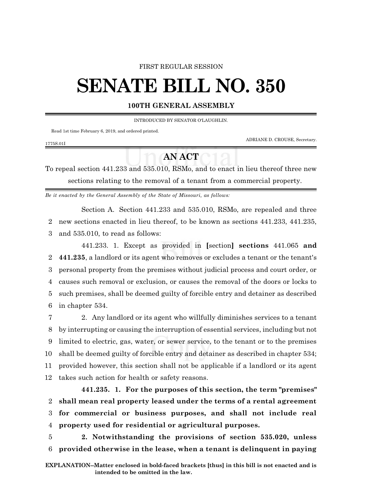## FIRST REGULAR SESSION

## **SENATE BILL NO. 350**

## **100TH GENERAL ASSEMBLY**

INTRODUCED BY SENATOR O'LAUGHLIN.

Read 1st time February 6, 2019, and ordered printed.

1775S.01I

ADRIANE D. CROUSE, Secretary.

## **AN ACT**

To repeal section 441.233 and 535.010, RSMo, and to enact in lieu thereof three new sections relating to the removal of a tenant from a commercial property.

*Be it enacted by the General Assembly of the State of Missouri, as follows:*

Section A. Section 441.233 and 535.010, RSMo, are repealed and three 2 new sections enacted in lieu thereof, to be known as sections 441.233, 441.235, 3 and 535.010, to read as follows:

441.233. 1. Except as provided in **[**section**] sections** 441.065 **and 441.235**, a landlord or its agent who removes or excludes a tenant or the tenant's personal property from the premises without judicial process and court order, or causes such removal or exclusion, or causes the removal of the doors or locks to such premises, shall be deemed guilty of forcible entry and detainer as described in chapter 534.

 2. Any landlord or its agent who willfully diminishes services to a tenant by interrupting or causing the interruption of essential services, including but not limited to electric, gas, water, or sewer service, to the tenant or to the premises shall be deemed guilty of forcible entry and detainer as described in chapter 534; provided however, this section shall not be applicable if a landlord or its agent takes such action for health or safety reasons.

**441.235. 1. For the purposes of this section, the term "premises" shall mean real property leased under the terms of a rental agreement for commercial or business purposes, and shall not include real property used for residential or agricultural purposes.**

5 **2. Notwithstanding the provisions of section 535.020, unless** 6 **provided otherwise in the lease, when a tenant is delinquent in paying**